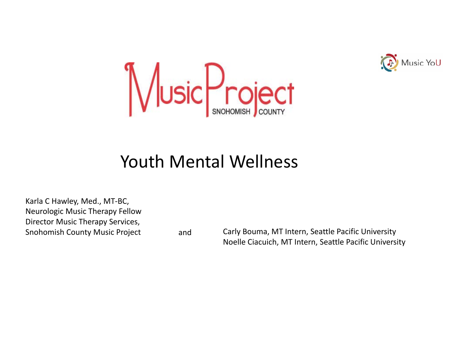



### Youth Mental Wellness

Karla C Hawley, Med., MT‐BC, Neurologic Music Therapy Fellow Director Music Therapy Services, **Snohomish County Music Project** 

and Carly Bouma, MT Intern, Seattle Pacific University Noelle Ciacuich, MT Intern, Seattle Pacific University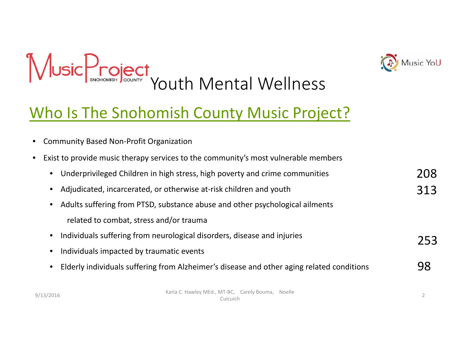



### Who Is The Snohomish County Music Project?

•Community Based Non‐Profit Organization

|  | • Exist to provide music therapy services to the community's most vulnerable members |  |  |  |  |
|--|--------------------------------------------------------------------------------------|--|--|--|--|
|--|--------------------------------------------------------------------------------------|--|--|--|--|

|  |  |  | • Underprivileged Children in high stress, high poverty and crime communities |  |
|--|--|--|-------------------------------------------------------------------------------|--|
|--|--|--|-------------------------------------------------------------------------------|--|

- •Adjudicated, incarcerated, or otherwise at‐risk children and youth
- • Adults suffering from PTSD, substance abuse and other psychological ailments related to combat, stress and/or trauma
- $\bullet$ • Individuals suffering from neurological disorders, disease and injuries
- •• Individuals impacted by traumatic events
- $\bullet$ Elderly individuals suffering from Alzheimer's disease and other aging related conditions

9/13/2016 Karla C. Hawley MEd., MT‐BC, Carely Bouma, Noelle<br>Cuicuich between the control of the control of the control of the control of the control of the control of the control of the control of the control of the control of the control of the control of the control of the control of the

98

208

313

253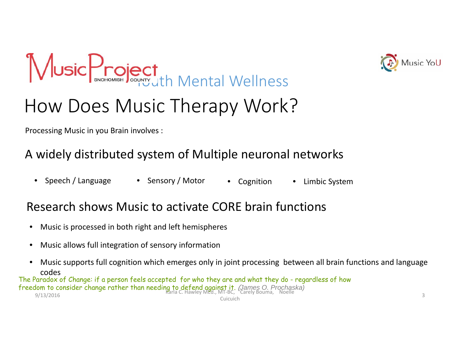



Processing Music in you Brain involves :

#### A widely distributed system of Multiple neuronal networks

 $\bullet$ Speech / Language • Sensory / Motor • Cognition • Limbic System

#### Research shows Music to activate CORE brain functions

- $\bullet$ Music is processed in both right and left hemispheres
- •Music allows full integration of sensory information
- $\bullet$  Music supports full cognition which emerges only in joint processing between all brain functions and language codes

9/13/2016 Karla C. Hawley MEd., MT‐BC, Carely Bouma, Noelle CuicuichThe Paradox of Change: if a person feels accepted for who they are and what they do - regardless of how freedom to consider change rather than needing to defend against it. (*James O. Prochaska)*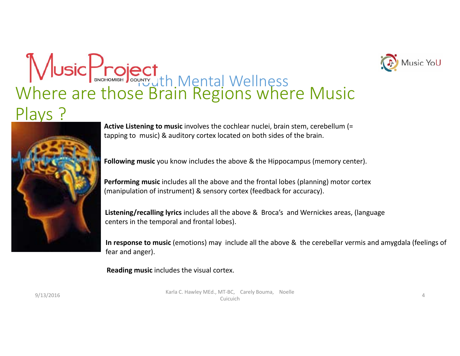

# Where are those Brain Regions where Music Plays ? WE Jth Mental Wellness



**Active Listening to music** involves the cochlear nuclei, brain stem, cerebellum (= tapping to music) & auditory cortex located on both sides of the brain.

**Following music** you know includes the above & the Hippocampus (memory center).

**Performing music** includes all the above and the frontal lobes (planning) motor cortex (manipulation of instrument) & sensory cortex (feedback for accuracy).

**Listening/recalling lyrics** includes all the above & Broca's and Wernickes areas, (language centers in the temporal and frontal lobes).

**In response to music** (emotions) may include all the above & the cerebellar vermis and amygdala (feelings of fear and anger).

**Reading music** includes the visual cortex.

9/13/2016 Karla C. Hawley MEd., MT‐BC, Carely Bouma, Noelle<br>Cuicuich  $\frac{1}{4}$